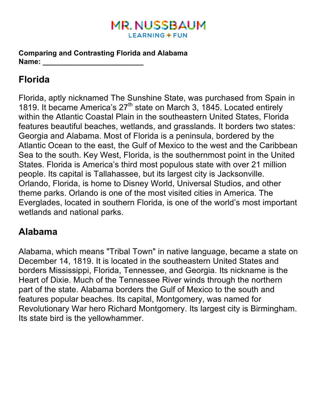### **MR. NUSSBAUM LEARNING + FUN**

**Comparing and Contrasting Florida and Alabama Name:**  $\blacksquare$ 

# **Florida**

Florida, aptly nicknamed The Sunshine State, was purchased from Spain in 1819. It became America's 27<sup>th</sup> state on March 3, 1845. Located entirely within the Atlantic Coastal Plain in the southeastern United States, Florida features beautiful beaches, wetlands, and grasslands. It borders two states: Georgia and Alabama. Most of Florida is a peninsula, bordered by the Atlantic Ocean to the east, the Gulf of Mexico to the west and the Caribbean Sea to the south. Key West, Florida, is the southernmost point in the United States. Florida is America's third most populous state with over 21 million people. Its capital is Tallahassee, but its largest city is Jacksonville. Orlando, Florida, is home to Disney World, Universal Studios, and other theme parks. Orlando is one of the most visited cities in America. The Everglades, located in southern Florida, is one of the world's most important wetlands and national parks.

## **Alabama**

Alabama, which means "Tribal Town" in native language, became a state on December 14, 1819. It is located in the southeastern United States and borders Mississippi, Florida, Tennessee, and Georgia. Its nickname is the Heart of Dixie. Much of the Tennessee River winds through the northern part of the state. Alabama borders the Gulf of Mexico to the south and features popular beaches. Its capital, Montgomery, was named for Revolutionary War hero Richard Montgomery. Its largest city is Birmingham. Its state bird is the yellowhammer.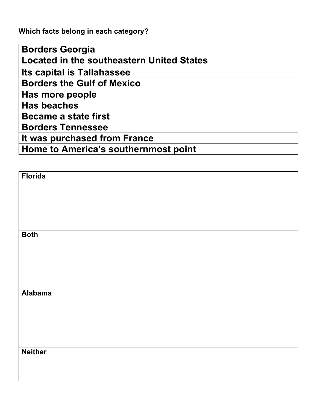**Which facts belong in each category?** 

| <b>Borders Georgia</b>                           |
|--------------------------------------------------|
| <b>Located in the southeastern United States</b> |
| Its capital is Tallahassee                       |
| <b>Borders the Gulf of Mexico</b>                |
| Has more people                                  |
| <b>Has beaches</b>                               |
| <b>Became a state first</b>                      |
| <b>Borders Tennessee</b>                         |
| It was purchased from France                     |
| Home to America's southernmost point             |

| Florida        |  |
|----------------|--|
|                |  |
|                |  |
|                |  |
|                |  |
|                |  |
| <b>Both</b>    |  |
|                |  |
|                |  |
|                |  |
|                |  |
| <b>Alabama</b> |  |
|                |  |
|                |  |
|                |  |
|                |  |
|                |  |
| <b>Neither</b> |  |
|                |  |
|                |  |